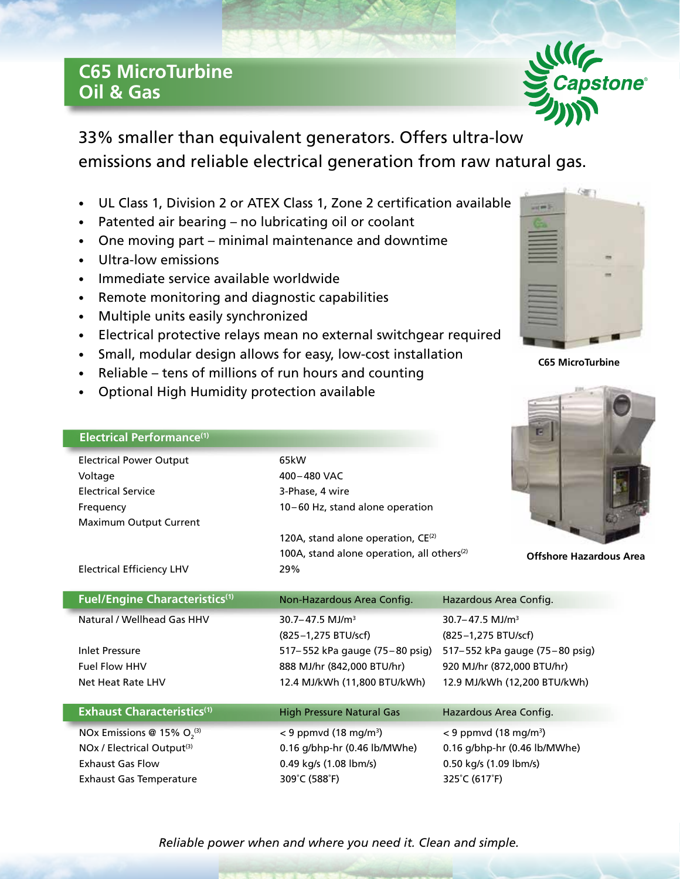## **C65 MicroTurbine Oil & Gas**

33% smaller than equivalent generators. Offers ultra-low emissions and reliable electrical generation from raw natural gas.

- UL Class 1, Division 2 or ATEX Class 1, Zone 2 certification available
- Patented air bearing no lubricating oil or coolant
- One moving part minimal maintenance and downtime
- Ultra-low emissions

**Electrical Performance(1)**

- Immediate service available worldwide
- Remote monitoring and diagnostic capabilities
- Multiple units easily synchronized
- Electrical protective relays mean no external switchgear required
- Small, modular design allows for easy, low-cost installation
- Reliable tens of millions of run hours and counting
- Optional High Humidity protection available

| <b>Electrical Power Output</b>         | 65kW                                                   |                                     |
|----------------------------------------|--------------------------------------------------------|-------------------------------------|
| Voltage                                | 400-480 VAC                                            |                                     |
| <b>Electrical Service</b>              | 3-Phase, 4 wire                                        |                                     |
| Frequency                              | 10-60 Hz, stand alone operation                        |                                     |
| Maximum Output Current                 |                                                        |                                     |
|                                        | 120A, stand alone operation, $CE^{(2)}$                |                                     |
|                                        | 100A, stand alone operation, all others <sup>(2)</sup> | <b>Offshore Hazar</b>               |
| <b>Electrical Efficiency LHV</b>       | 29%                                                    |                                     |
|                                        |                                                        |                                     |
| <b>Fuel/Engine Characteristics(1)</b>  | Non-Hazardous Area Config.                             | Hazardous Area Config.              |
| Natural / Wellhead Gas HHV             | $30.7 - 47.5$ MJ/m <sup>3</sup>                        | $30.7 - 47.5$ MJ/m <sup>3</sup>     |
|                                        | (825-1,275 BTU/scf)                                    | (825-1,275 BTU/scf)                 |
| <b>Inlet Pressure</b>                  | 517–552 kPa gauge (75–80 psig)                         | 517–552 kPa gauge (75–80 psig)      |
| <b>Fuel Flow HHV</b>                   | 888 MJ/hr (842,000 BTU/hr)                             | 920 MJ/hr (872,000 BTU/hr)          |
| Net Heat Rate LHV                      | 12.4 MJ/kWh (11,800 BTU/kWh)                           | 12.9 MJ/kWh (12,200 BTU/kWh)        |
|                                        |                                                        |                                     |
| <b>Exhaust Characteristics(1)</b>      | <b>High Pressure Natural Gas</b>                       | Hazardous Area Config.              |
| NOx Emissions @ 15% $O_2^{(3)}$        | $<$ 9 ppmvd (18 mg/m <sup>3</sup> )                    | $<$ 9 ppmvd (18 mg/m <sup>3</sup> ) |
| NOx / Electrical Output <sup>(3)</sup> | 0.16 g/bhp-hr (0.46 lb/MWhe)                           | 0.16 g/bhp-hr (0.46 lb/MWhe)        |



Exhaust Gas Flow 0.49 kg/s (1.08 lbm/s) 0.50 kg/s (1.09 lbm/s)

) < 9 ppmvd (18 mg/m3 )

**C65 MicroTurbine**



**Offshore Hazardous Area**

*Reliable power when and where you need it. Clean and simple.*